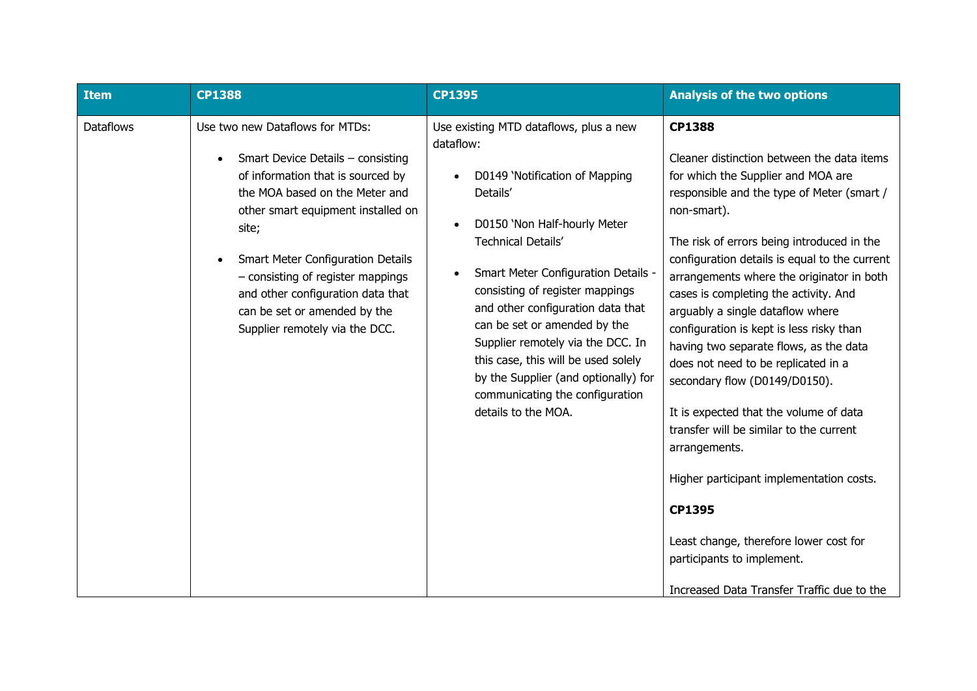| Item             | <b>CP1388</b>                                                                                                                                                                                                                                                                                                                                                               | <b>CP1395</b>                                                                                                                                                                                                                                                                                                                                                                                                                                                                                                         | <b>Analysis of the two options</b>                                                                                                                                                                                                                                                                                                                                                                                                                                                                                                                                                                                                                                                                                                                                                                                                             |
|------------------|-----------------------------------------------------------------------------------------------------------------------------------------------------------------------------------------------------------------------------------------------------------------------------------------------------------------------------------------------------------------------------|-----------------------------------------------------------------------------------------------------------------------------------------------------------------------------------------------------------------------------------------------------------------------------------------------------------------------------------------------------------------------------------------------------------------------------------------------------------------------------------------------------------------------|------------------------------------------------------------------------------------------------------------------------------------------------------------------------------------------------------------------------------------------------------------------------------------------------------------------------------------------------------------------------------------------------------------------------------------------------------------------------------------------------------------------------------------------------------------------------------------------------------------------------------------------------------------------------------------------------------------------------------------------------------------------------------------------------------------------------------------------------|
| <b>Dataflows</b> | Use two new Dataflows for MTDs:<br>Smart Device Details - consisting<br>of information that is sourced by<br>the MOA based on the Meter and<br>other smart equipment installed on<br>site;<br>Smart Meter Configuration Details<br>- consisting of register mappings<br>and other configuration data that<br>can be set or amended by the<br>Supplier remotely via the DCC. | Use existing MTD dataflows, plus a new<br>dataflow:<br>D0149 'Notification of Mapping<br>$\bullet$<br>Details'<br>D0150 'Non Half-hourly Meter<br>$\bullet$<br>Technical Details'<br><b>Smart Meter Configuration Details -</b><br>consisting of register mappings<br>and other configuration data that<br>can be set or amended by the<br>Supplier remotely via the DCC. In<br>this case, this will be used solely<br>by the Supplier (and optionally) for<br>communicating the configuration<br>details to the MOA. | <b>CP1388</b><br>Cleaner distinction between the data items<br>for which the Supplier and MOA are<br>responsible and the type of Meter (smart /<br>non-smart).<br>The risk of errors being introduced in the<br>configuration details is equal to the current<br>arrangements where the originator in both<br>cases is completing the activity. And<br>arguably a single dataflow where<br>configuration is kept is less risky than<br>having two separate flows, as the data<br>does not need to be replicated in a<br>secondary flow (D0149/D0150).<br>It is expected that the volume of data<br>transfer will be similar to the current<br>arrangements.<br>Higher participant implementation costs.<br><b>CP1395</b><br>Least change, therefore lower cost for<br>participants to implement.<br>Increased Data Transfer Traffic due to the |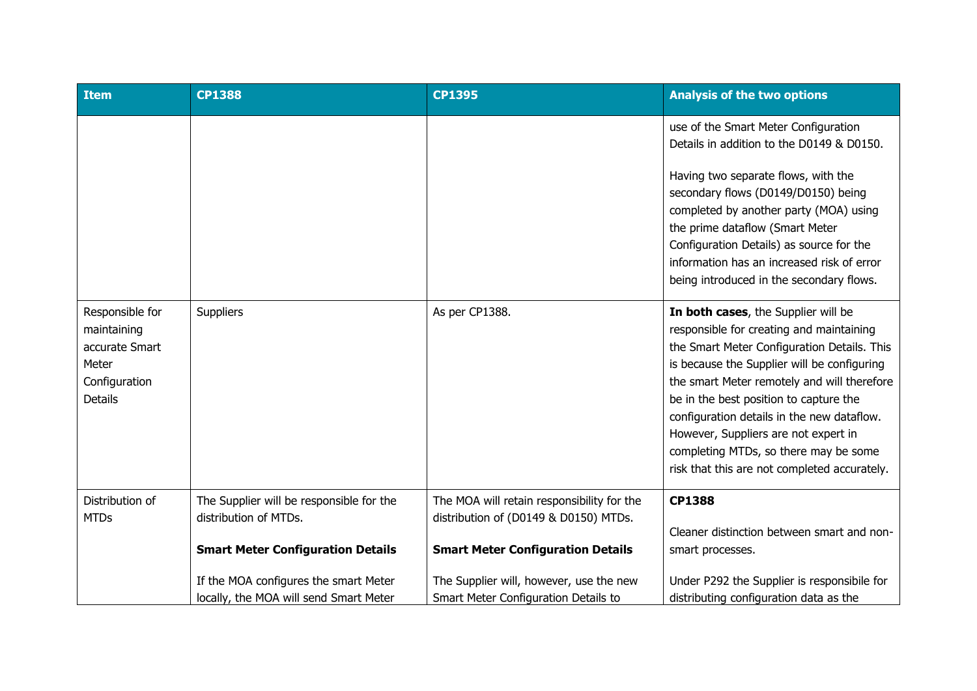| <b>Item</b>                                                                                  | <b>CP1388</b>                                                                                                 | <b>CP1395</b>                                                                                                                   | <b>Analysis of the two options</b>                                                                                                                                                                                                                                                                                                                                                                                                                    |
|----------------------------------------------------------------------------------------------|---------------------------------------------------------------------------------------------------------------|---------------------------------------------------------------------------------------------------------------------------------|-------------------------------------------------------------------------------------------------------------------------------------------------------------------------------------------------------------------------------------------------------------------------------------------------------------------------------------------------------------------------------------------------------------------------------------------------------|
|                                                                                              |                                                                                                               |                                                                                                                                 | use of the Smart Meter Configuration<br>Details in addition to the D0149 & D0150.<br>Having two separate flows, with the<br>secondary flows (D0149/D0150) being<br>completed by another party (MOA) using<br>the prime dataflow (Smart Meter<br>Configuration Details) as source for the<br>information has an increased risk of error<br>being introduced in the secondary flows.                                                                    |
| Responsible for<br>maintaining<br>accurate Smart<br>Meter<br>Configuration<br><b>Details</b> | Suppliers                                                                                                     | As per CP1388.                                                                                                                  | In both cases, the Supplier will be<br>responsible for creating and maintaining<br>the Smart Meter Configuration Details. This<br>is because the Supplier will be configuring<br>the smart Meter remotely and will therefore<br>be in the best position to capture the<br>configuration details in the new dataflow.<br>However, Suppliers are not expert in<br>completing MTDs, so there may be some<br>risk that this are not completed accurately. |
| Distribution of<br><b>MTDs</b>                                                               | The Supplier will be responsible for the<br>distribution of MTDs.<br><b>Smart Meter Configuration Details</b> | The MOA will retain responsibility for the<br>distribution of (D0149 & D0150) MTDs.<br><b>Smart Meter Configuration Details</b> | <b>CP1388</b><br>Cleaner distinction between smart and non-<br>smart processes.                                                                                                                                                                                                                                                                                                                                                                       |
|                                                                                              | If the MOA configures the smart Meter<br>locally, the MOA will send Smart Meter                               | The Supplier will, however, use the new<br>Smart Meter Configuration Details to                                                 | Under P292 the Supplier is responsibile for<br>distributing configuration data as the                                                                                                                                                                                                                                                                                                                                                                 |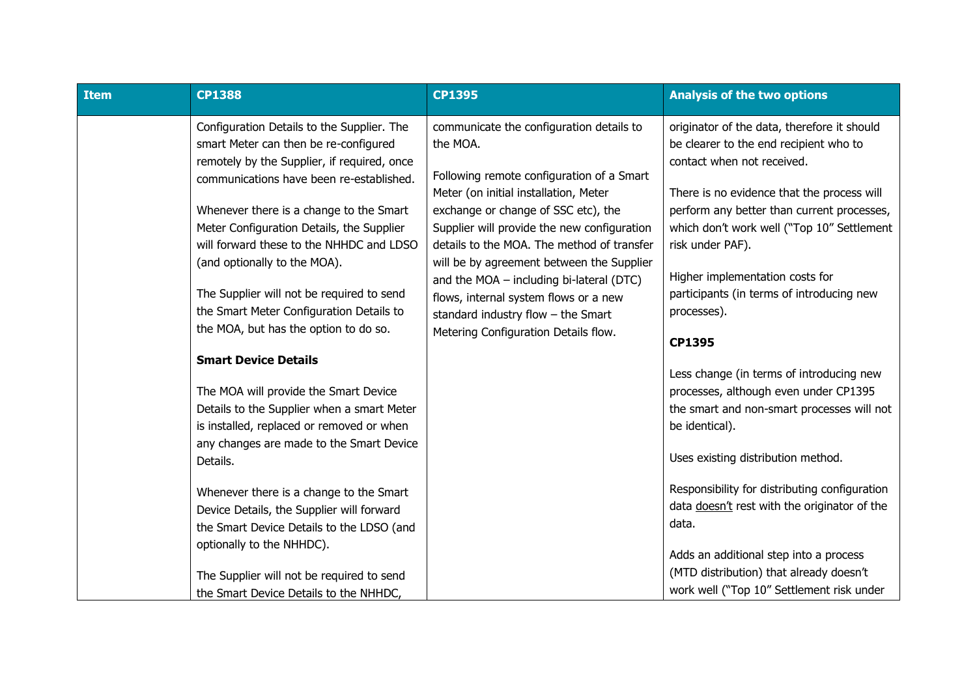| <b>Item</b> | <b>CP1388</b>                               | <b>CP1395</b>                               | <b>Analysis of the two options</b>                                                |
|-------------|---------------------------------------------|---------------------------------------------|-----------------------------------------------------------------------------------|
|             | Configuration Details to the Supplier. The  | communicate the configuration details to    | originator of the data, therefore it should                                       |
|             | smart Meter can then be re-configured       | the MOA.                                    | be clearer to the end recipient who to                                            |
|             | remotely by the Supplier, if required, once | Following remote configuration of a Smart   | contact when not received.                                                        |
|             | communications have been re-established.    | Meter (on initial installation, Meter       | There is no evidence that the process will                                        |
|             | Whenever there is a change to the Smart     | exchange or change of SSC etc), the         | perform any better than current processes,                                        |
|             | Meter Configuration Details, the Supplier   | Supplier will provide the new configuration | which don't work well ("Top 10" Settlement                                        |
|             | will forward these to the NHHDC and LDSO    | details to the MOA. The method of transfer  | risk under PAF).                                                                  |
|             | (and optionally to the MOA).                | will be by agreement between the Supplier   |                                                                                   |
|             |                                             | and the $MOA$ – including bi-lateral (DTC)  | Higher implementation costs for                                                   |
|             | The Supplier will not be required to send   | flows, internal system flows or a new       | participants (in terms of introducing new                                         |
|             | the Smart Meter Configuration Details to    | standard industry flow $-$ the Smart        | processes).                                                                       |
|             | the MOA, but has the option to do so.       | Metering Configuration Details flow.        | <b>CP1395</b>                                                                     |
|             | <b>Smart Device Details</b>                 |                                             |                                                                                   |
|             |                                             |                                             | Less change (in terms of introducing new                                          |
|             | The MOA will provide the Smart Device       |                                             | processes, although even under CP1395                                             |
|             | Details to the Supplier when a smart Meter  |                                             | the smart and non-smart processes will not                                        |
|             | is installed, replaced or removed or when   |                                             | be identical).                                                                    |
|             | any changes are made to the Smart Device    |                                             | Uses existing distribution method.                                                |
|             | Details.                                    |                                             |                                                                                   |
|             | Whenever there is a change to the Smart     |                                             | Responsibility for distributing configuration                                     |
|             | Device Details, the Supplier will forward   |                                             | data doesn't rest with the originator of the                                      |
|             | the Smart Device Details to the LDSO (and   |                                             | data.                                                                             |
|             | optionally to the NHHDC).                   |                                             |                                                                                   |
|             |                                             |                                             | Adds an additional step into a process<br>(MTD distribution) that already doesn't |
|             | The Supplier will not be required to send   |                                             | work well ("Top 10" Settlement risk under                                         |
|             | the Smart Device Details to the NHHDC,      |                                             |                                                                                   |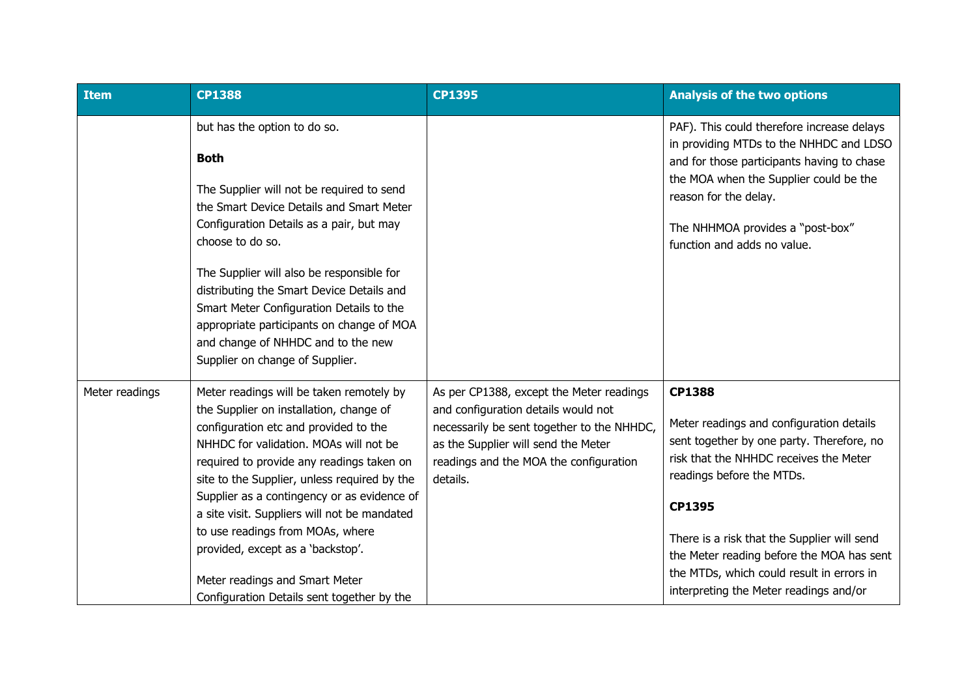| <b>Item</b>    | <b>CP1388</b>                                                                                                                                                                                                                                                                                                                                                                                                                                                                                                               | <b>CP1395</b>                                                                                                                                                                                                              | <b>Analysis of the two options</b>                                                                                                                                                                                                                                                                                                                                         |
|----------------|-----------------------------------------------------------------------------------------------------------------------------------------------------------------------------------------------------------------------------------------------------------------------------------------------------------------------------------------------------------------------------------------------------------------------------------------------------------------------------------------------------------------------------|----------------------------------------------------------------------------------------------------------------------------------------------------------------------------------------------------------------------------|----------------------------------------------------------------------------------------------------------------------------------------------------------------------------------------------------------------------------------------------------------------------------------------------------------------------------------------------------------------------------|
|                | but has the option to do so.<br><b>Both</b><br>The Supplier will not be required to send<br>the Smart Device Details and Smart Meter<br>Configuration Details as a pair, but may<br>choose to do so.<br>The Supplier will also be responsible for<br>distributing the Smart Device Details and<br>Smart Meter Configuration Details to the<br>appropriate participants on change of MOA<br>and change of NHHDC and to the new<br>Supplier on change of Supplier.                                                            |                                                                                                                                                                                                                            | PAF). This could therefore increase delays<br>in providing MTDs to the NHHDC and LDSO<br>and for those participants having to chase<br>the MOA when the Supplier could be the<br>reason for the delay.<br>The NHHMOA provides a "post-box"<br>function and adds no value.                                                                                                  |
| Meter readings | Meter readings will be taken remotely by<br>the Supplier on installation, change of<br>configuration etc and provided to the<br>NHHDC for validation. MOAs will not be<br>required to provide any readings taken on<br>site to the Supplier, unless required by the<br>Supplier as a contingency or as evidence of<br>a site visit. Suppliers will not be mandated<br>to use readings from MOAs, where<br>provided, except as a 'backstop'.<br>Meter readings and Smart Meter<br>Configuration Details sent together by the | As per CP1388, except the Meter readings<br>and configuration details would not<br>necessarily be sent together to the NHHDC,<br>as the Supplier will send the Meter<br>readings and the MOA the configuration<br>details. | <b>CP1388</b><br>Meter readings and configuration details<br>sent together by one party. Therefore, no<br>risk that the NHHDC receives the Meter<br>readings before the MTDs.<br>CP1395<br>There is a risk that the Supplier will send<br>the Meter reading before the MOA has sent<br>the MTDs, which could result in errors in<br>interpreting the Meter readings and/or |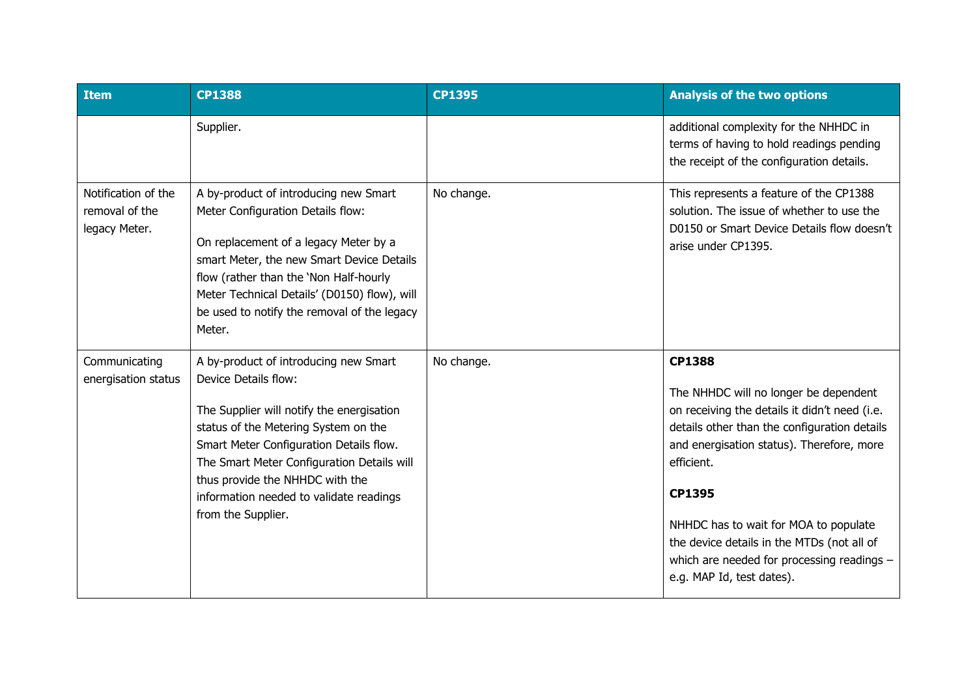| <b>Item</b>                                            | <b>CP1388</b>                                                                                                                                                                                                                                                                                                                                   | <b>CP1395</b> | <b>Analysis of the two options</b>                                                                                                                                                                                                                                                                                                                                                                    |
|--------------------------------------------------------|-------------------------------------------------------------------------------------------------------------------------------------------------------------------------------------------------------------------------------------------------------------------------------------------------------------------------------------------------|---------------|-------------------------------------------------------------------------------------------------------------------------------------------------------------------------------------------------------------------------------------------------------------------------------------------------------------------------------------------------------------------------------------------------------|
|                                                        | Supplier.                                                                                                                                                                                                                                                                                                                                       |               | additional complexity for the NHHDC in<br>terms of having to hold readings pending<br>the receipt of the configuration details.                                                                                                                                                                                                                                                                       |
| Notification of the<br>removal of the<br>legacy Meter. | A by-product of introducing new Smart<br>Meter Configuration Details flow:<br>On replacement of a legacy Meter by a<br>smart Meter, the new Smart Device Details<br>flow (rather than the 'Non Half-hourly<br>Meter Technical Details' (D0150) flow), will<br>be used to notify the removal of the legacy<br>Meter.                             | No change.    | This represents a feature of the CP1388<br>solution. The issue of whether to use the<br>D0150 or Smart Device Details flow doesn't<br>arise under CP1395.                                                                                                                                                                                                                                             |
| Communicating<br>energisation status                   | A by-product of introducing new Smart<br>Device Details flow:<br>The Supplier will notify the energisation<br>status of the Metering System on the<br>Smart Meter Configuration Details flow.<br>The Smart Meter Configuration Details will<br>thus provide the NHHDC with the<br>information needed to validate readings<br>from the Supplier. | No change.    | <b>CP1388</b><br>The NHHDC will no longer be dependent<br>on receiving the details it didn't need (i.e.<br>details other than the configuration details<br>and energisation status). Therefore, more<br>efficient.<br><b>CP1395</b><br>NHHDC has to wait for MOA to populate<br>the device details in the MTDs (not all of<br>which are needed for processing readings -<br>e.g. MAP Id, test dates). |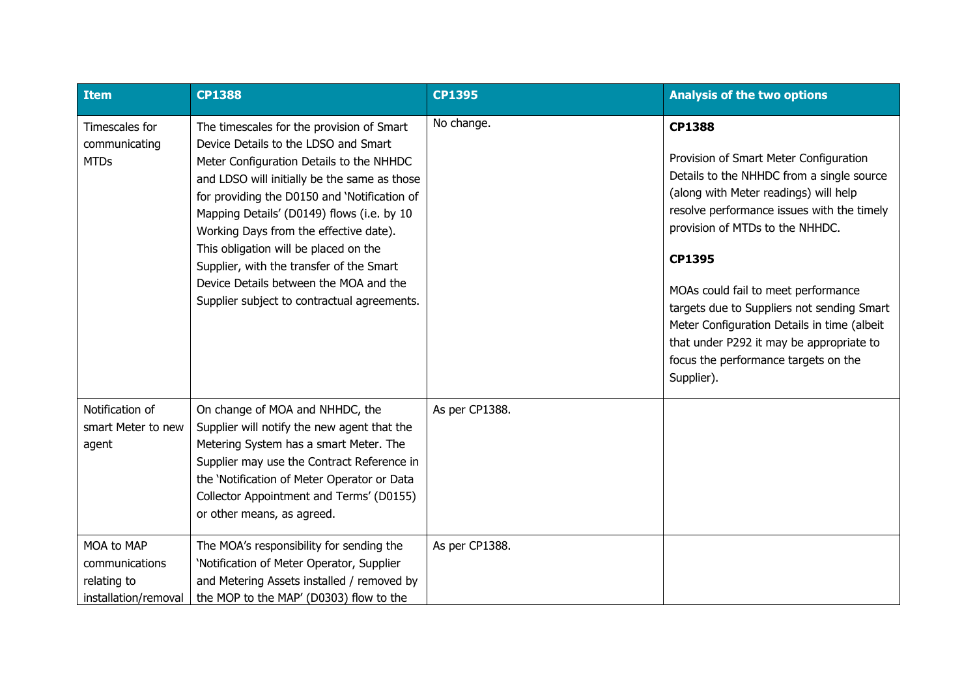| Item                                                                | <b>CP1388</b>                                                                                                                                                                                                                                                                                                                                                                                                                                                                                       | <b>CP1395</b>  | <b>Analysis of the two options</b>                                                                                                                                                                                                                                                                                                                                                                                                                                                    |
|---------------------------------------------------------------------|-----------------------------------------------------------------------------------------------------------------------------------------------------------------------------------------------------------------------------------------------------------------------------------------------------------------------------------------------------------------------------------------------------------------------------------------------------------------------------------------------------|----------------|---------------------------------------------------------------------------------------------------------------------------------------------------------------------------------------------------------------------------------------------------------------------------------------------------------------------------------------------------------------------------------------------------------------------------------------------------------------------------------------|
| Timescales for<br>communicating<br><b>MTDs</b>                      | The timescales for the provision of Smart<br>Device Details to the LDSO and Smart<br>Meter Configuration Details to the NHHDC<br>and LDSO will initially be the same as those<br>for providing the D0150 and 'Notification of<br>Mapping Details' (D0149) flows (i.e. by 10<br>Working Days from the effective date).<br>This obligation will be placed on the<br>Supplier, with the transfer of the Smart<br>Device Details between the MOA and the<br>Supplier subject to contractual agreements. | No change.     | <b>CP1388</b><br>Provision of Smart Meter Configuration<br>Details to the NHHDC from a single source<br>(along with Meter readings) will help<br>resolve performance issues with the timely<br>provision of MTDs to the NHHDC.<br><b>CP1395</b><br>MOAs could fail to meet performance<br>targets due to Suppliers not sending Smart<br>Meter Configuration Details in time (albeit<br>that under P292 it may be appropriate to<br>focus the performance targets on the<br>Supplier). |
| Notification of<br>smart Meter to new<br>agent                      | On change of MOA and NHHDC, the<br>Supplier will notify the new agent that the<br>Metering System has a smart Meter. The<br>Supplier may use the Contract Reference in<br>the 'Notification of Meter Operator or Data<br>Collector Appointment and Terms' (D0155)<br>or other means, as agreed.                                                                                                                                                                                                     | As per CP1388. |                                                                                                                                                                                                                                                                                                                                                                                                                                                                                       |
| MOA to MAP<br>communications<br>relating to<br>installation/removal | The MOA's responsibility for sending the<br>'Notification of Meter Operator, Supplier<br>and Metering Assets installed / removed by<br>the MOP to the MAP' (D0303) flow to the                                                                                                                                                                                                                                                                                                                      | As per CP1388. |                                                                                                                                                                                                                                                                                                                                                                                                                                                                                       |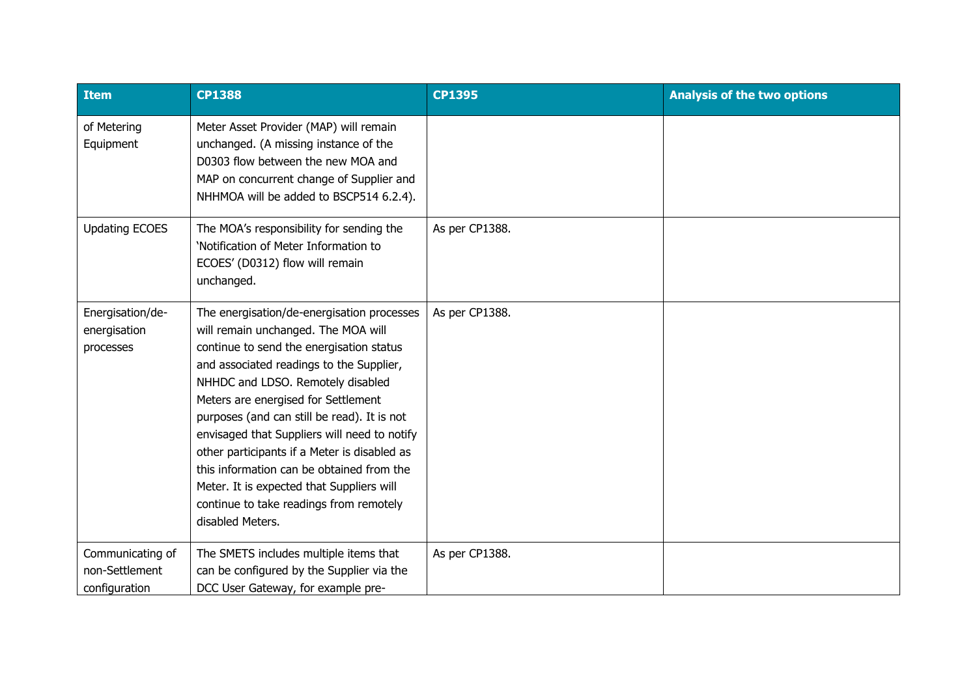| <b>Item</b>                                         | <b>CP1388</b>                                                                                                                                                                                                                                                                                                                                                                                                                                                                                                                                                 | <b>CP1395</b>  | <b>Analysis of the two options</b> |
|-----------------------------------------------------|---------------------------------------------------------------------------------------------------------------------------------------------------------------------------------------------------------------------------------------------------------------------------------------------------------------------------------------------------------------------------------------------------------------------------------------------------------------------------------------------------------------------------------------------------------------|----------------|------------------------------------|
| of Metering<br>Equipment                            | Meter Asset Provider (MAP) will remain<br>unchanged. (A missing instance of the<br>D0303 flow between the new MOA and<br>MAP on concurrent change of Supplier and<br>NHHMOA will be added to BSCP514 6.2.4).                                                                                                                                                                                                                                                                                                                                                  |                |                                    |
| <b>Updating ECOES</b>                               | The MOA's responsibility for sending the<br>'Notification of Meter Information to<br>ECOES' (D0312) flow will remain<br>unchanged.                                                                                                                                                                                                                                                                                                                                                                                                                            | As per CP1388. |                                    |
| Energisation/de-<br>energisation<br>processes       | The energisation/de-energisation processes<br>will remain unchanged. The MOA will<br>continue to send the energisation status<br>and associated readings to the Supplier,<br>NHHDC and LDSO. Remotely disabled<br>Meters are energised for Settlement<br>purposes (and can still be read). It is not<br>envisaged that Suppliers will need to notify<br>other participants if a Meter is disabled as<br>this information can be obtained from the<br>Meter. It is expected that Suppliers will<br>continue to take readings from remotely<br>disabled Meters. | As per CP1388. |                                    |
| Communicating of<br>non-Settlement<br>configuration | The SMETS includes multiple items that<br>can be configured by the Supplier via the<br>DCC User Gateway, for example pre-                                                                                                                                                                                                                                                                                                                                                                                                                                     | As per CP1388. |                                    |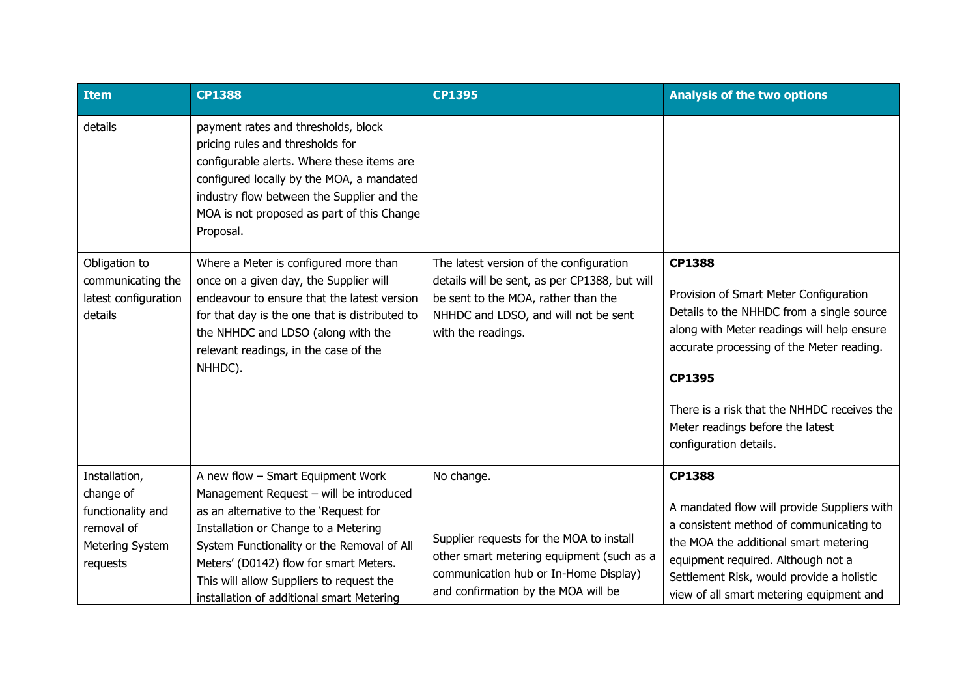| <b>Item</b>                                                           | <b>CP1388</b>                                                                                                                                                                                                                                                               | <b>CP1395</b>                                                                                                                                                                                 | <b>Analysis of the two options</b>                                                                                                                                                                                                                                                                                            |
|-----------------------------------------------------------------------|-----------------------------------------------------------------------------------------------------------------------------------------------------------------------------------------------------------------------------------------------------------------------------|-----------------------------------------------------------------------------------------------------------------------------------------------------------------------------------------------|-------------------------------------------------------------------------------------------------------------------------------------------------------------------------------------------------------------------------------------------------------------------------------------------------------------------------------|
| details                                                               | payment rates and thresholds, block<br>pricing rules and thresholds for<br>configurable alerts. Where these items are<br>configured locally by the MOA, a mandated<br>industry flow between the Supplier and the<br>MOA is not proposed as part of this Change<br>Proposal. |                                                                                                                                                                                               |                                                                                                                                                                                                                                                                                                                               |
| Obligation to<br>communicating the<br>latest configuration<br>details | Where a Meter is configured more than<br>once on a given day, the Supplier will<br>endeavour to ensure that the latest version<br>for that day is the one that is distributed to<br>the NHHDC and LDSO (along with the<br>relevant readings, in the case of the<br>NHHDC).  | The latest version of the configuration<br>details will be sent, as per CP1388, but will<br>be sent to the MOA, rather than the<br>NHHDC and LDSO, and will not be sent<br>with the readings. | <b>CP1388</b><br>Provision of Smart Meter Configuration<br>Details to the NHHDC from a single source<br>along with Meter readings will help ensure<br>accurate processing of the Meter reading.<br><b>CP1395</b><br>There is a risk that the NHHDC receives the<br>Meter readings before the latest<br>configuration details. |
| Installation,<br>change of<br>functionality and                       | A new flow - Smart Equipment Work<br>Management Request - will be introduced<br>as an alternative to the 'Request for                                                                                                                                                       | No change.                                                                                                                                                                                    | <b>CP1388</b><br>A mandated flow will provide Suppliers with                                                                                                                                                                                                                                                                  |
| removal of<br>Metering System<br>requests                             | Installation or Change to a Metering<br>System Functionality or the Removal of All<br>Meters' (D0142) flow for smart Meters.<br>This will allow Suppliers to request the<br>installation of additional smart Metering                                                       | Supplier requests for the MOA to install<br>other smart metering equipment (such as a<br>communication hub or In-Home Display)<br>and confirmation by the MOA will be                         | a consistent method of communicating to<br>the MOA the additional smart metering<br>equipment required. Although not a<br>Settlement Risk, would provide a holistic<br>view of all smart metering equipment and                                                                                                               |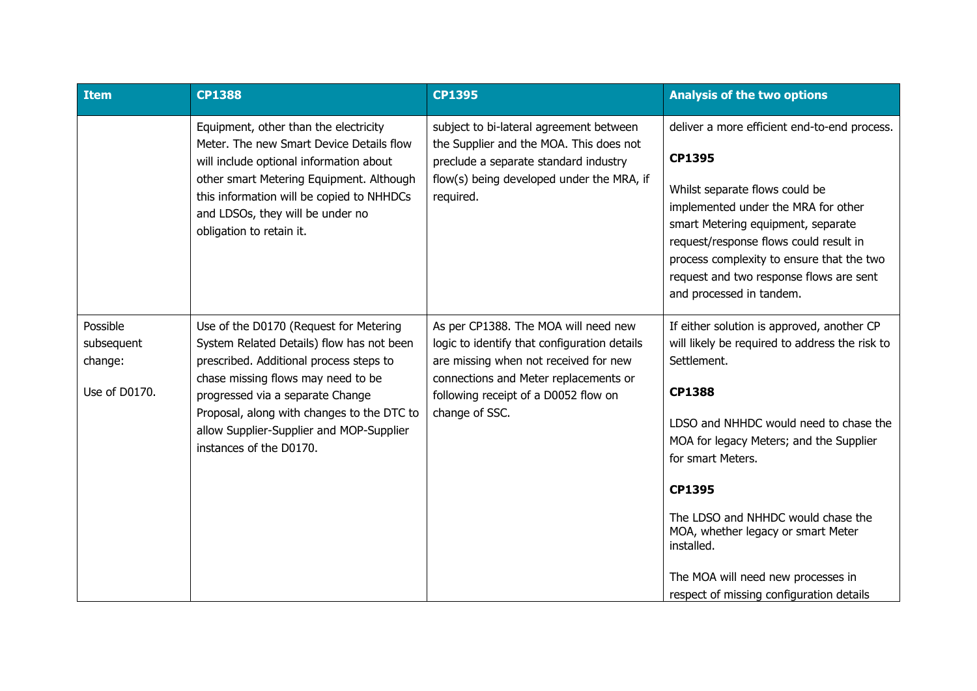| <b>Item</b>                                        | <b>CP1388</b>                                                                                                                                                                                                                                                                                                                 | <b>CP1395</b>                                                                                                                                                                                                                    | <b>Analysis of the two options</b>                                                                                                                                                                                                                                                                                                                                                                                                  |
|----------------------------------------------------|-------------------------------------------------------------------------------------------------------------------------------------------------------------------------------------------------------------------------------------------------------------------------------------------------------------------------------|----------------------------------------------------------------------------------------------------------------------------------------------------------------------------------------------------------------------------------|-------------------------------------------------------------------------------------------------------------------------------------------------------------------------------------------------------------------------------------------------------------------------------------------------------------------------------------------------------------------------------------------------------------------------------------|
|                                                    | Equipment, other than the electricity<br>Meter. The new Smart Device Details flow<br>will include optional information about<br>other smart Metering Equipment. Although<br>this information will be copied to NHHDCs<br>and LDSOs, they will be under no<br>obligation to retain it.                                         | subject to bi-lateral agreement between<br>the Supplier and the MOA. This does not<br>preclude a separate standard industry<br>flow(s) being developed under the MRA, if<br>required.                                            | deliver a more efficient end-to-end process.<br><b>CP1395</b><br>Whilst separate flows could be<br>implemented under the MRA for other<br>smart Metering equipment, separate<br>request/response flows could result in<br>process complexity to ensure that the two<br>request and two response flows are sent<br>and processed in tandem.                                                                                          |
| Possible<br>subsequent<br>change:<br>Use of D0170. | Use of the D0170 (Request for Metering<br>System Related Details) flow has not been<br>prescribed. Additional process steps to<br>chase missing flows may need to be<br>progressed via a separate Change<br>Proposal, along with changes to the DTC to<br>allow Supplier-Supplier and MOP-Supplier<br>instances of the D0170. | As per CP1388. The MOA will need new<br>logic to identify that configuration details<br>are missing when not received for new<br>connections and Meter replacements or<br>following receipt of a D0052 flow on<br>change of SSC. | If either solution is approved, another CP<br>will likely be required to address the risk to<br>Settlement.<br><b>CP1388</b><br>LDSO and NHHDC would need to chase the<br>MOA for legacy Meters; and the Supplier<br>for smart Meters.<br><b>CP1395</b><br>The LDSO and NHHDC would chase the<br>MOA, whether legacy or smart Meter<br>installed.<br>The MOA will need new processes in<br>respect of missing configuration details |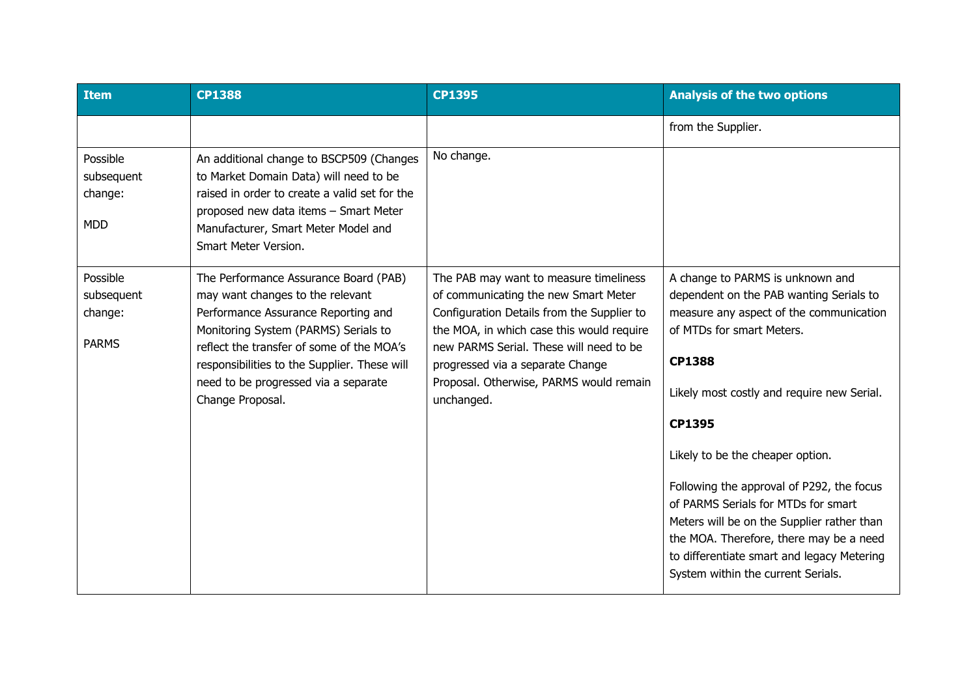| <b>Item</b>                                       | <b>CP1388</b>                                                                                                                                                                                                                                                                                                     | <b>CP1395</b>                                                                                                                                                                                                                                                                                                     | <b>Analysis of the two options</b>                                                                                                                                                                                                                                                                                                                                                                                                                                                                                                |
|---------------------------------------------------|-------------------------------------------------------------------------------------------------------------------------------------------------------------------------------------------------------------------------------------------------------------------------------------------------------------------|-------------------------------------------------------------------------------------------------------------------------------------------------------------------------------------------------------------------------------------------------------------------------------------------------------------------|-----------------------------------------------------------------------------------------------------------------------------------------------------------------------------------------------------------------------------------------------------------------------------------------------------------------------------------------------------------------------------------------------------------------------------------------------------------------------------------------------------------------------------------|
|                                                   |                                                                                                                                                                                                                                                                                                                   |                                                                                                                                                                                                                                                                                                                   | from the Supplier.                                                                                                                                                                                                                                                                                                                                                                                                                                                                                                                |
| Possible<br>subsequent<br>change:<br><b>MDD</b>   | An additional change to BSCP509 (Changes<br>to Market Domain Data) will need to be<br>raised in order to create a valid set for the<br>proposed new data items - Smart Meter<br>Manufacturer, Smart Meter Model and<br>Smart Meter Version.                                                                       | No change.                                                                                                                                                                                                                                                                                                        |                                                                                                                                                                                                                                                                                                                                                                                                                                                                                                                                   |
| Possible<br>subsequent<br>change:<br><b>PARMS</b> | The Performance Assurance Board (PAB)<br>may want changes to the relevant<br>Performance Assurance Reporting and<br>Monitoring System (PARMS) Serials to<br>reflect the transfer of some of the MOA's<br>responsibilities to the Supplier. These will<br>need to be progressed via a separate<br>Change Proposal. | The PAB may want to measure timeliness<br>of communicating the new Smart Meter<br>Configuration Details from the Supplier to<br>the MOA, in which case this would require<br>new PARMS Serial. These will need to be<br>progressed via a separate Change<br>Proposal. Otherwise, PARMS would remain<br>unchanged. | A change to PARMS is unknown and<br>dependent on the PAB wanting Serials to<br>measure any aspect of the communication<br>of MTDs for smart Meters.<br><b>CP1388</b><br>Likely most costly and require new Serial.<br>CP1395<br>Likely to be the cheaper option.<br>Following the approval of P292, the focus<br>of PARMS Serials for MTDs for smart<br>Meters will be on the Supplier rather than<br>the MOA. Therefore, there may be a need<br>to differentiate smart and legacy Metering<br>System within the current Serials. |